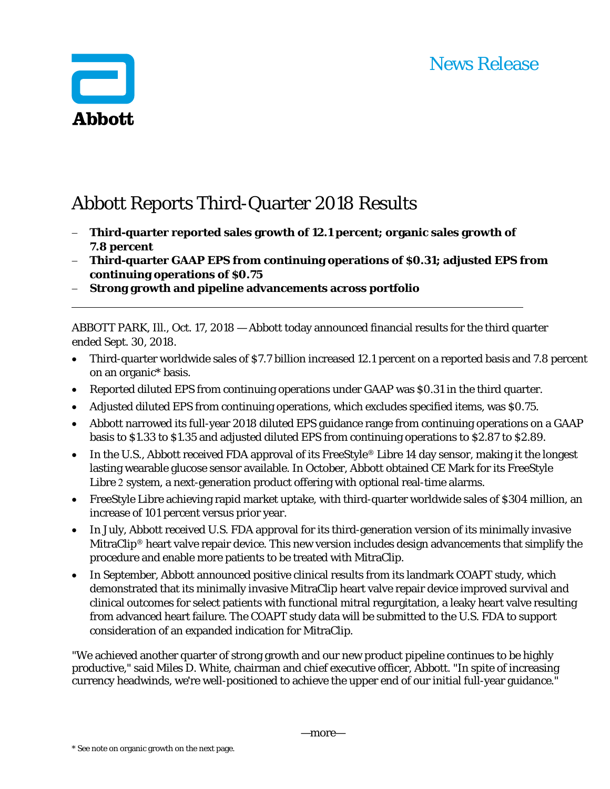## News Release



# Abbott Reports Third-Quarter 2018 Results

- **Third-quarter reported sales growth of 12.1 percent; organic sales growth of 7.8 percent**
- **Third-quarter GAAP EPS from continuing operations of \$0.31; adjusted EPS from continuing operations of \$0.75**
- **Strong growth and pipeline advancements across portfolio**

ABBOTT PARK, Ill., Oct. 17, 2018 — Abbott today announced financial results for the third quarter ended Sept. 30, 2018.

- Third-quarter worldwide sales of \$7.7 billion increased 12.1 percent on a reported basis and 7.8 percent on an organic\* basis.
- Reported diluted EPS from continuing operations under GAAP was \$0.31 in the third quarter.
- Adjusted diluted EPS from continuing operations, which excludes specified items, was \$0.75.
- Abbott narrowed its full-year 2018 diluted EPS guidance range from continuing operations on a GAAP basis to \$1.33 to \$1.35 and adjusted diluted EPS from continuing operations to \$2.87 to \$2.89.
- In the U.S., Abbott received FDA approval of its FreeStyle® Libre 14 day sensor, making it the longest lasting wearable glucose sensor available. In October, Abbott obtained CE Mark for its FreeStyle Libre 2 system, a next-generation product offering with optional real-time alarms.
- FreeStyle Libre achieving rapid market uptake, with third-quarter worldwide sales of \$304 million, an increase of 101 percent versus prior year.
- In July, Abbott received U.S. FDA approval for its third-generation version of its minimally invasive MitraClip<sup>®</sup> heart valve repair device. This new version includes design advancements that simplify the procedure and enable more patients to be treated with MitraClip.
- In September, Abbott announced positive clinical results from its landmark COAPT study, which demonstrated that its minimally invasive MitraClip heart valve repair device improved survival and clinical outcomes for select patients with functional mitral regurgitation, a leaky heart valve resulting from advanced heart failure. The COAPT study data will be submitted to the U.S. FDA to support consideration of an expanded indication for MitraClip.

"We achieved another quarter of strong growth and our new product pipeline continues to be highly productive," said Miles D. White, chairman and chief executive officer, Abbott. "In spite of increasing currency headwinds, we're well-positioned to achieve the upper end of our initial full-year guidance."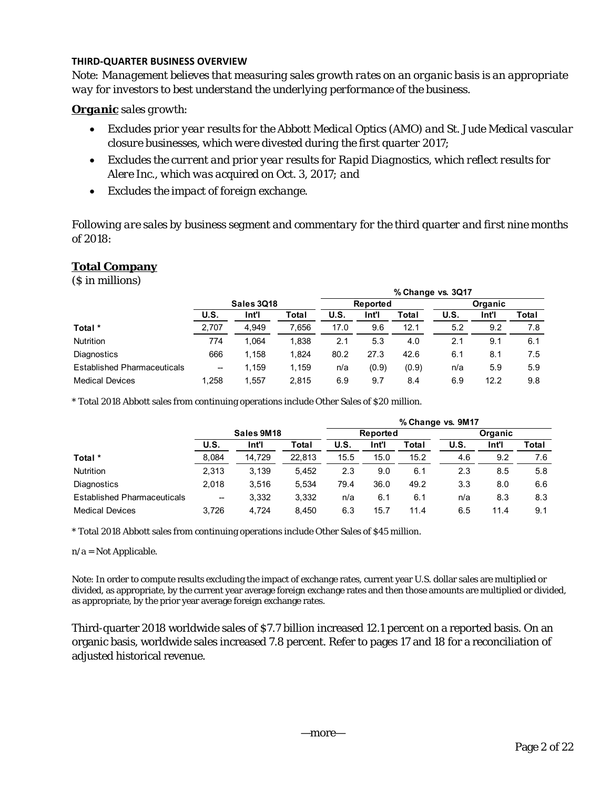## **THIRD‐QUARTER BUSINESS OVERVIEW**

*Note: Management believes that measuring sales growth rates on an organic basis is an appropriate way for investors to best understand the underlying performance of the business.* 

## *Organic sales growth:*

- *Excludes prior year results for the Abbott Medical Optics (AMO) and St. Jude Medical vascular closure businesses, which were divested during the first quarter 2017;*
- *Excludes the current and prior year results for Rapid Diagnostics, which reflect results for Alere Inc., which was acquired on Oct. 3, 2017; and*
- *Excludes the impact of foreign exchange.*

*Following are sales by business segment and commentary for the third quarter and first nine months of 2018:* 

## **Total Company**

(\$ in millions)

|                                    |            |       |       | % Change vs. 3Q17 |          |       |         |       |       |  |  |
|------------------------------------|------------|-------|-------|-------------------|----------|-------|---------|-------|-------|--|--|
|                                    | Sales 3Q18 |       |       |                   | Reported |       | Organic |       |       |  |  |
|                                    | U.S.       | Int'l | Total | U.S.              | Int'l    | Total | U.S.    | Int'l | Total |  |  |
| Total *                            | 2,707      | 4,949 | 7.656 | 17.0              | 9.6      | 12.1  | 5.2     | 9.2   | 7.8   |  |  |
| <b>Nutrition</b>                   | 774        | 1.064 | 1.838 | 2.1               | 5.3      | 4.0   | 2.1     | 9.1   | 6.1   |  |  |
| <b>Diagnostics</b>                 | 666        | 1.158 | 1.824 | 80.2              | 27.3     | 42.6  | 6.1     | 8.1   | 7.5   |  |  |
| <b>Established Pharmaceuticals</b> | --         | 1.159 | 1.159 | n/a               | (0.9)    | (0.9) | n/a     | 5.9   | 5.9   |  |  |
| <b>Medical Devices</b>             | 1.258      | 1.557 | 2.815 | 6.9               | 9.7      | 8.4   | 6.9     | 12.2  | 9.8   |  |  |

\* Total 2018 Abbott sales from continuing operations include Other Sales of \$20 million.

|                                    |                          |            |        | % Change vs. 9M17 |          |       |                |       |       |  |  |
|------------------------------------|--------------------------|------------|--------|-------------------|----------|-------|----------------|-------|-------|--|--|
|                                    |                          | Sales 9M18 |        |                   | Reported |       | <b>Organic</b> |       |       |  |  |
|                                    | U.S.                     | Int'l      | Total  | U.S.              | Int'l    | Total | <b>U.S.</b>    | Int'l | Total |  |  |
| Total *                            | 8,084                    | 14.729     | 22.813 | 15.5              | 15.0     | 15.2  | 4.6            | 9.2   | 7.6   |  |  |
| <b>Nutrition</b>                   | 2,313                    | 3.139      | 5.452  | 2.3               | 9.0      | 6.1   | 2.3            | 8.5   | 5.8   |  |  |
| <b>Diagnostics</b>                 | 2.018                    | 3.516      | 5.534  | 79.4              | 36.0     | 49.2  | 3.3            | 8.0   | 6.6   |  |  |
| <b>Established Pharmaceuticals</b> | $\overline{\phantom{a}}$ | 3,332      | 3.332  | n/a               | 6.1      | 6.1   | n/a            | 8.3   | 8.3   |  |  |
| <b>Medical Devices</b>             | 3.726                    | 4.724      | 8.450  | 6.3               | 15.7     | 11.4  | 6.5            | 11.4  | 9.1   |  |  |

\* Total 2018 Abbott sales from continuing operations include Other Sales of \$45 million.

n/a = Not Applicable.

Note: In order to compute results excluding the impact of exchange rates, current year U.S. dollar sales are multiplied or divided, as appropriate, by the current year average foreign exchange rates and then those amounts are multiplied or divided, as appropriate, by the prior year average foreign exchange rates.

Third-quarter 2018 worldwide sales of \$7.7 billion increased 12.1 percent on a reported basis. On an organic basis, worldwide sales increased 7.8 percent. Refer to pages 17 and 18 for a reconciliation of adjusted historical revenue.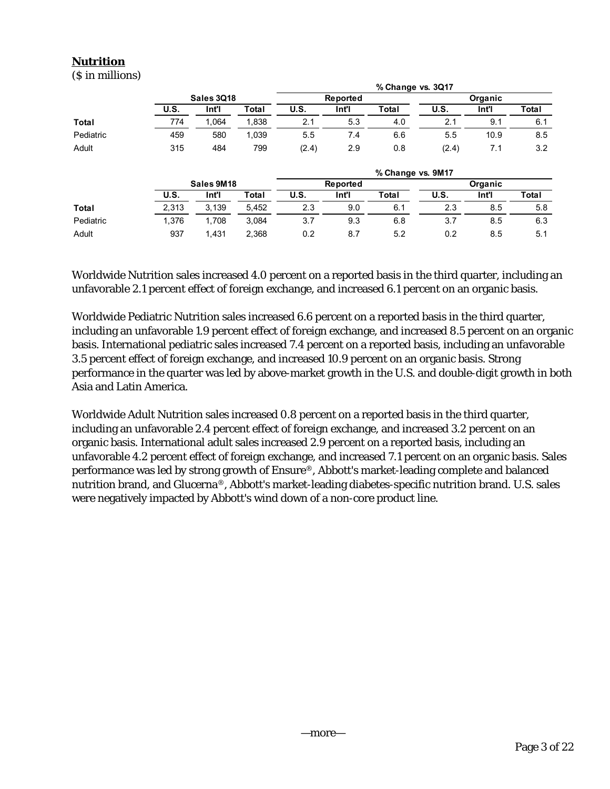## **Nutrition**

(\$ in millions)

|           |             |            |       |       |          | % Change vs. 3Q17 |       |         |       |
|-----------|-------------|------------|-------|-------|----------|-------------------|-------|---------|-------|
|           |             | Sales 3Q18 |       |       | Reported |                   |       | Organic |       |
|           | <b>U.S.</b> | Int'l      | Total | U.S.  | Int'l    | Total             | U.S.  | Int'l   | Total |
| Total     | 774         | 1.064      | 1,838 | 2.1   | 5.3      | 4.0               | 2.1   | 9.1     | 6.1   |
| Pediatric | 459         | 580        | 1,039 | 5.5   | 7.4      | 6.6               | 5.5   | 10.9    | 8.5   |
| Adult     | 315         | 484        | 799   | (2.4) | 2.9      | 0.8               | (2.4) | 7.1     | 3.2   |
|           |             |            |       |       |          | % Change vs. 9M17 |       |         |       |
|           |             | Sales 9M18 |       |       | Reported |                   |       | Organic |       |
|           | <b>U.S.</b> | Int'l      | Total | U.S.  | Int'l    | Total             | U.S.  | Int'l   | Total |
| Total     | 2,313       | 3,139      | 5,452 | 2.3   | 9.0      | 6.1               | 2.3   | 8.5     | 5.8   |
| Pediatric | 1,376       | 1.708      | 3,084 | 3.7   | 9.3      | 6.8               | 3.7   | 8.5     | 6.3   |
| Adult     | 937         | 1.431      | 2,368 | 0.2   | 8.7      | 5.2               | 0.2   | 8.5     | 5.1   |

Worldwide Nutrition sales increased 4.0 percent on a reported basis in the third quarter, including an unfavorable 2.1 percent effect of foreign exchange, and increased 6.1 percent on an organic basis.

Worldwide Pediatric Nutrition sales increased 6.6 percent on a reported basis in the third quarter, including an unfavorable 1.9 percent effect of foreign exchange, and increased 8.5 percent on an organic basis. International pediatric sales increased 7.4 percent on a reported basis, including an unfavorable 3.5 percent effect of foreign exchange, and increased 10.9 percent on an organic basis. Strong performance in the quarter was led by above-market growth in the U.S. and double-digit growth in both Asia and Latin America.

Worldwide Adult Nutrition sales increased 0.8 percent on a reported basis in the third quarter, including an unfavorable 2.4 percent effect of foreign exchange, and increased 3.2 percent on an organic basis. International adult sales increased 2.9 percent on a reported basis, including an unfavorable 4.2 percent effect of foreign exchange, and increased 7.1 percent on an organic basis. Sales performance was led by strong growth of Ensure®, Abbott's market-leading complete and balanced nutrition brand, and Glucerna®, Abbott's market-leading diabetes-specific nutrition brand. U.S. sales were negatively impacted by Abbott's wind down of a non-core product line.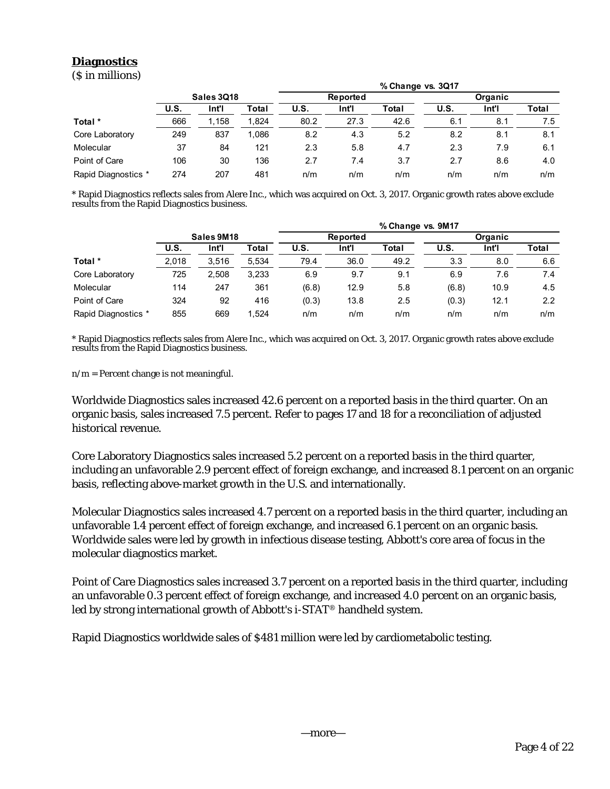## **Diagnostics**

(\$ in millions)

|                     |            |       |       | % Change vs. 3Q17 |          |       |                |       |       |  |  |
|---------------------|------------|-------|-------|-------------------|----------|-------|----------------|-------|-------|--|--|
|                     | Sales 3Q18 |       |       |                   | Reported |       | <b>Organic</b> |       |       |  |  |
|                     | U.S.       | Int'l | Total | U.S.              | Int'l    | Total | U.S.           | Int'l | Total |  |  |
| Total *             | 666        | 1.158 | 1.824 | 80.2              | 27.3     | 42.6  | 6.1            | 8.1   | 7.5   |  |  |
| Core Laboratory     | 249        | 837   | 1.086 | 8.2               | 4.3      | 5.2   | 8.2            | 8.1   | 8.1   |  |  |
| Molecular           | 37         | 84    | 121   | 2.3               | 5.8      | 4.7   | 2.3            | 7.9   | 6.1   |  |  |
| Point of Care       | 106        | 30    | 136   | 2.7               | 7.4      | 3.7   | 2.7            | 8.6   | 4.0   |  |  |
| Rapid Diagnostics * | 274        | 207   | 481   | n/m               | n/m      | n/m   | n/m            | n/m   | n/m   |  |  |

\* Rapid Diagnostics reflects sales from Alere Inc., which was acquired on Oct. 3, 2017. Organic growth rates above exclude results from the Rapid Diagnostics business.

|                     |            |       |       | % Change vs. 9M17 |          |       |       |         |                  |  |  |
|---------------------|------------|-------|-------|-------------------|----------|-------|-------|---------|------------------|--|--|
|                     | Sales 9M18 |       |       |                   | Reported |       |       | Organic |                  |  |  |
|                     | U.S.       | Int'l | Total | U.S.              | Int'l    | Total | U.S.  | Int'l   | Total            |  |  |
| Total *             | 2,018      | 3.516 | 5.534 | 79.4              | 36.0     | 49.2  | 3.3   | 8.0     | 6.6              |  |  |
| Core Laboratory     | 725        | 2.508 | 3.233 | 6.9               | 9.7      | 9.1   | 6.9   | 7.6     | 7.4              |  |  |
| Molecular           | 114        | 247   | 361   | (6.8)             | 12.9     | 5.8   | (6.8) | 10.9    | 4.5              |  |  |
| Point of Care       | 324        | 92    | 416   | (0.3)             | 13.8     | 2.5   | (0.3) | 12.1    | $2.2\phantom{0}$ |  |  |
| Rapid Diagnostics * | 855        | 669   | 1.524 | n/m               | n/m      | n/m   | n/m   | n/m     | n/m              |  |  |

\* Rapid Diagnostics reflects sales from Alere Inc., which was acquired on Oct. 3, 2017. Organic growth rates above exclude results from the Rapid Diagnostics business.

 $n/m =$  Percent change is not meaningful.

Worldwide Diagnostics sales increased 42.6 percent on a reported basis in the third quarter. On an organic basis, sales increased 7.5 percent. Refer to pages 17 and 18 for a reconciliation of adjusted historical revenue.

Core Laboratory Diagnostics sales increased 5.2 percent on a reported basis in the third quarter, including an unfavorable 2.9 percent effect of foreign exchange, and increased 8.1 percent on an organic basis, reflecting above-market growth in the U.S. and internationally.

Molecular Diagnostics sales increased 4.7 percent on a reported basis in the third quarter, including an unfavorable 1.4 percent effect of foreign exchange, and increased 6.1 percent on an organic basis. Worldwide sales were led by growth in infectious disease testing, Abbott's core area of focus in the molecular diagnostics market.

Point of Care Diagnostics sales increased 3.7 percent on a reported basis in the third quarter, including an unfavorable 0.3 percent effect of foreign exchange, and increased 4.0 percent on an organic basis, led by strong international growth of Abbott's i-STAT® handheld system.

Rapid Diagnostics worldwide sales of \$481 million were led by cardiometabolic testing.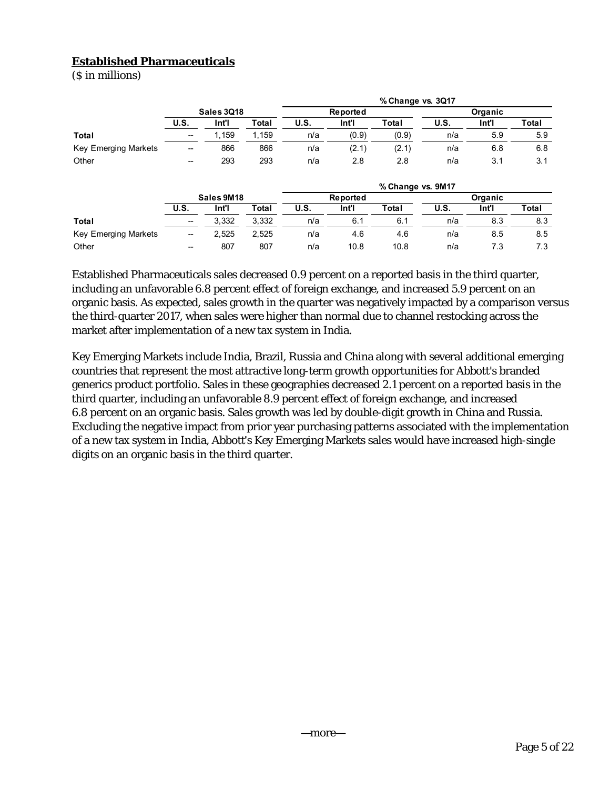## **Established Pharmaceuticals**

(\$ in millions)

|                             |                          |       |       |             |       | % Change vs. 3Q17 |         |       |       |
|-----------------------------|--------------------------|-------|-------|-------------|-------|-------------------|---------|-------|-------|
|                             | Sales 3Q18               |       |       | Reported    |       |                   | Organic |       |       |
|                             | <b>U.S.</b>              | Int'l | Total | <b>U.S.</b> | Int'l | Total             | U.S.    | Int'l | Total |
| Total                       | $\overline{\phantom{a}}$ | . 159 | . 159 | n/a         | (0.9) | (0.9)             | n/a     | 5.9   | 5.9   |
| <b>Key Emerging Markets</b> | --                       | 866   | 866   | n/a         | (2.1) | (2.1)             | n/a     | 6.8   | 6.8   |
| Other                       | $\overline{\phantom{a}}$ | 293   | 293   | n/a         | 2.8   | 2.8               | n/a     | 3.1   | 3.1   |

|                      |                          |       |       | % Change vs. 9M17 |       |       |         |       |       |  |  |
|----------------------|--------------------------|-------|-------|-------------------|-------|-------|---------|-------|-------|--|--|
|                      | Sales 9M18               |       |       | Reported          |       |       | Organic |       |       |  |  |
|                      | U.S.                     | Int'l | Total | U.S.              | Int'i | Total | U.S.    | Int'l | Total |  |  |
| <b>Total</b>         | $\overline{\phantom{a}}$ | 3.332 | 3.332 | n/a               | 6.1   | 6.1   | n/a     | 8.3   | 8.3   |  |  |
| Key Emerging Markets | $\overline{\phantom{a}}$ | 2.525 | 2,525 | n/a               | 4.6   | 4.6   | n/a     | 8.5   | 8.5   |  |  |
| Other                | --                       | 807   | 807   | n/a               | 10.8  | 10.8  | n/a     | 7.3   | 7.3   |  |  |

Established Pharmaceuticals sales decreased 0.9 percent on a reported basis in the third quarter, including an unfavorable 6.8 percent effect of foreign exchange, and increased 5.9 percent on an organic basis. As expected, sales growth in the quarter was negatively impacted by a comparison versus the third-quarter 2017, when sales were higher than normal due to channel restocking across the market after implementation of a new tax system in India.

Key Emerging Markets include India, Brazil, Russia and China along with several additional emerging countries that represent the most attractive long-term growth opportunities for Abbott's branded generics product portfolio. Sales in these geographies decreased 2.1 percent on a reported basis in the third quarter, including an unfavorable 8.9 percent effect of foreign exchange, and increased 6.8 percent on an organic basis. Sales growth was led by double-digit growth in China and Russia. Excluding the negative impact from prior year purchasing patterns associated with the implementation of a new tax system in India, Abbott's Key Emerging Markets sales would have increased high-single digits on an organic basis in the third quarter.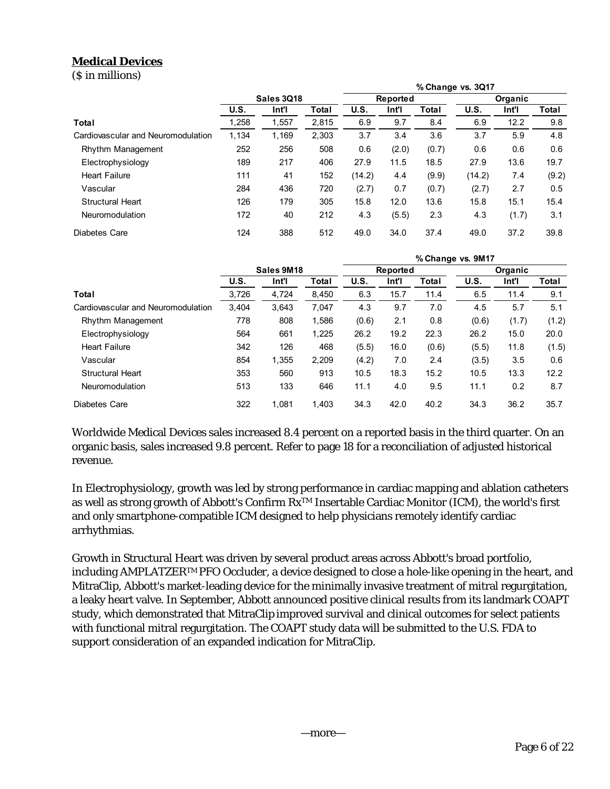## **Medical Devices**

(\$ in millions)

|                                    |            |       |              | % Change vs. 3Q17 |          |       |        |         |       |
|------------------------------------|------------|-------|--------------|-------------------|----------|-------|--------|---------|-------|
|                                    | Sales 3Q18 |       |              |                   | Reported |       |        | Organic |       |
|                                    | U.S.       | Int'l | <b>Total</b> | U.S.              | Int'l    | Total | U.S.   | Int'l   | Total |
| Total                              | 1,258      | 1,557 | 2.815        | 6.9               | 9.7      | 8.4   | 6.9    | 12.2    | 9.8   |
| Cardiovascular and Neuromodulation | 1.134      | 1.169 | 2.303        | 3.7               | 3.4      | 3.6   | 3.7    | 5.9     | 4.8   |
| <b>Rhythm Management</b>           | 252        | 256   | 508          | 0.6               | (2.0)    | (0.7) | 0.6    | 0.6     | 0.6   |
| Electrophysiology                  | 189        | 217   | 406          | 27.9              | 11.5     | 18.5  | 27.9   | 13.6    | 19.7  |
| <b>Heart Failure</b>               | 111        | 41    | 152          | (14.2)            | 4.4      | (9.9) | (14.2) | 7.4     | (9.2) |
| Vascular                           | 284        | 436   | 720          | (2.7)             | 0.7      | (0.7) | (2.7)  | 2.7     | 0.5   |
| <b>Structural Heart</b>            | 126        | 179   | 305          | 15.8              | 12.0     | 13.6  | 15.8   | 15.1    | 15.4  |
| Neuromodulation                    | 172        | 40    | 212          | 4.3               | (5.5)    | 2.3   | 4.3    | (1.7)   | 3.1   |
| Diabetes Care                      | 124        | 388   | 512          | 49.0              | 34.0     | 37.4  | 49.0   | 37.2    | 39.8  |

|                                    |             |       |       | % Change vs. 9M17 |          |       |         |       |       |
|------------------------------------|-------------|-------|-------|-------------------|----------|-------|---------|-------|-------|
|                                    | Sales 9M18  |       |       |                   | Reported |       | Organic |       |       |
|                                    | <b>U.S.</b> | Int'l | Total | U.S.              | Int'l    | Total | U.S.    | Int'l | Total |
| Total                              | 3,726       | 4,724 | 8,450 | 6.3               | 15.7     | 11.4  | 6.5     | 11.4  | 9.1   |
| Cardiovascular and Neuromodulation | 3,404       | 3,643 | 7,047 | 4.3               | 9.7      | 7.0   | 4.5     | 5.7   | 5.1   |
| Rhythm Management                  | 778         | 808   | 1,586 | (0.6)             | 2.1      | 0.8   | (0.6)   | (1.7) | (1.2) |
| Electrophysiology                  | 564         | 661   | 1,225 | 26.2              | 19.2     | 22.3  | 26.2    | 15.0  | 20.0  |
| <b>Heart Failure</b>               | 342         | 126   | 468   | (5.5)             | 16.0     | (0.6) | (5.5)   | 11.8  | (1.5) |
| Vascular                           | 854         | 1,355 | 2,209 | (4.2)             | 7.0      | 2.4   | (3.5)   | 3.5   | 0.6   |
| <b>Structural Heart</b>            | 353         | 560   | 913   | 10.5              | 18.3     | 15.2  | 10.5    | 13.3  | 12.2  |
| Neuromodulation                    | 513         | 133   | 646   | 11.1              | 4.0      | 9.5   | 11.1    | 0.2   | 8.7   |
| Diabetes Care                      | 322         | 1.081 | 1.403 | 34.3              | 42.0     | 40.2  | 34.3    | 36.2  | 35.7  |

Worldwide Medical Devices sales increased 8.4 percent on a reported basis in the third quarter. On an organic basis, sales increased 9.8 percent. Refer to page 18 for a reconciliation of adjusted historical revenue.

In Electrophysiology, growth was led by strong performance in cardiac mapping and ablation catheters as well as strong growth of Abbott's Confirm RxTM Insertable Cardiac Monitor (ICM), the world's first and only smartphone-compatible ICM designed to help physicians remotely identify cardiac arrhythmias.

Growth in Structural Heart was driven by several product areas across Abbott's broad portfolio, including AMPLATZERTM PFO Occluder, a device designed to close a hole-like opening in the heart, and MitraClip, Abbott's market-leading device for the minimally invasive treatment of mitral regurgitation, a leaky heart valve. In September, Abbott announced positive clinical results from its landmark COAPT study, which demonstrated that MitraClip improved survival and clinical outcomes for select patients with functional mitral regurgitation. The COAPT study data will be submitted to the U.S. FDA to support consideration of an expanded indication for MitraClip.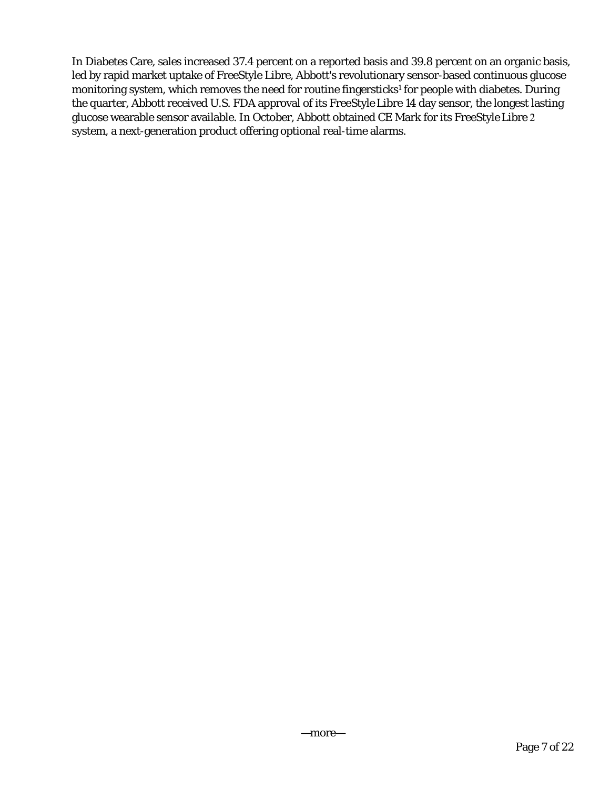In Diabetes Care, sales increased 37.4 percent on a reported basis and 39.8 percent on an organic basis, led by rapid market uptake of FreeStyle Libre, Abbott's revolutionary sensor-based continuous glucose monitoring system, which removes the need for routine fingersticks<sup>1</sup> for people with diabetes. During the quarter, Abbott received U.S. FDA approval of its FreeStyle Libre 14 day sensor, the longest lasting glucose wearable sensor available. In October, Abbott obtained CE Mark for its FreeStyle Libre 2 system, a next-generation product offering optional real-time alarms.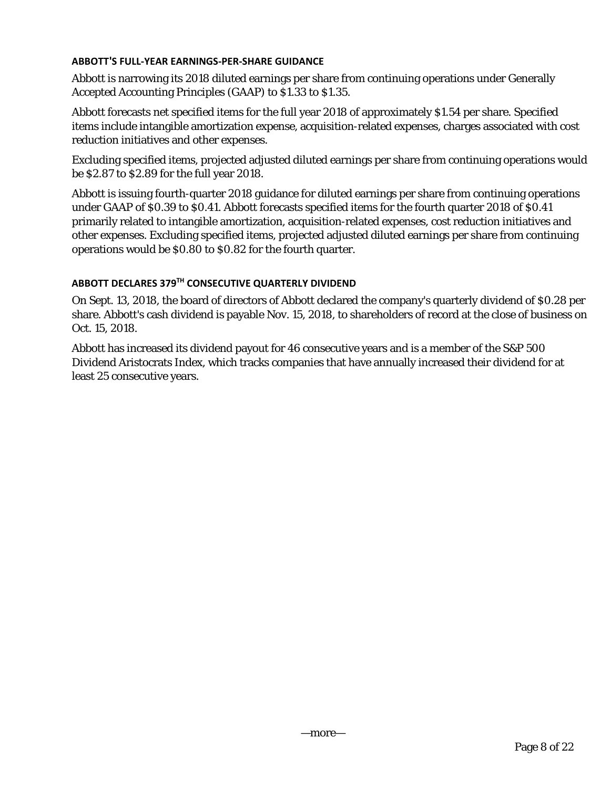## **ABBOTT'S FULL‐YEAR EARNINGS‐PER‐SHARE GUIDANCE**

Abbott is narrowing its 2018 diluted earnings per share from continuing operations under Generally Accepted Accounting Principles (GAAP) to \$1.33 to \$1.35.

Abbott forecasts net specified items for the full year 2018 of approximately \$1.54 per share. Specified items include intangible amortization expense, acquisition-related expenses, charges associated with cost reduction initiatives and other expenses.

Excluding specified items, projected adjusted diluted earnings per share from continuing operations would be \$2.87 to \$2.89 for the full year 2018.

Abbott is issuing fourth-quarter 2018 guidance for diluted earnings per share from continuing operations under GAAP of \$0.39 to \$0.41. Abbott forecasts specified items for the fourth quarter 2018 of \$0.41 primarily related to intangible amortization, acquisition-related expenses, cost reduction initiatives and other expenses. Excluding specified items, projected adjusted diluted earnings per share from continuing operations would be \$0.80 to \$0.82 for the fourth quarter.

## **ABBOTT DECLARES 379TH CONSECUTIVE QUARTERLY DIVIDEND**

On Sept. 13, 2018, the board of directors of Abbott declared the company's quarterly dividend of \$0.28 per share. Abbott's cash dividend is payable Nov. 15, 2018, to shareholders of record at the close of business on Oct. 15, 2018.

Abbott has increased its dividend payout for 46 consecutive years and is a member of the S&P 500 Dividend Aristocrats Index, which tracks companies that have annually increased their dividend for at least 25 consecutive years.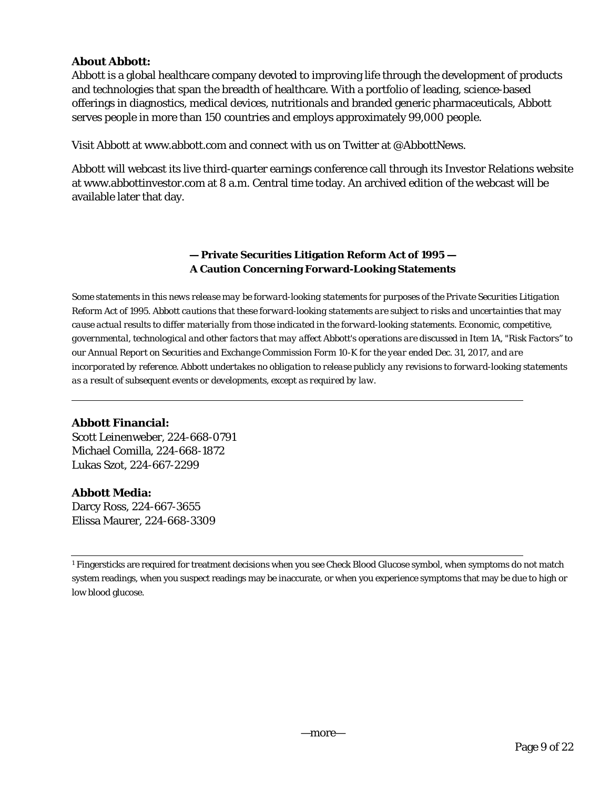## **About Abbott:**

Abbott is a global healthcare company devoted to improving life through the development of products and technologies that span the breadth of healthcare. With a portfolio of leading, science-based offerings in diagnostics, medical devices, nutritionals and branded generic pharmaceuticals, Abbott serves people in more than 150 countries and employs approximately 99,000 people.

Visit Abbott at www.abbott.com and connect with us on Twitter at @AbbottNews.

Abbott will webcast its live third-quarter earnings conference call through its Investor Relations website at www.abbottinvestor.com at 8 a.m. Central time today. An archived edition of the webcast will be available later that day.

## **— Private Securities Litigation Reform Act of 1995 — A Caution Concerning Forward-Looking Statements**

*Some statements in this news release may be forward-looking statements for purposes of the Private Securities Litigation Reform Act of 1995. Abbott cautions that these forward-looking statements are subject to risks and uncertainties that may cause actual results to differ materially from those indicated in the forward-looking statements. Economic, competitive, governmental, technological and other factors that may affect Abbott's operations are discussed in Item 1A, "Risk Factors'' to our Annual Report on Securities and Exchange Commission Form 10-K for the year ended Dec. 31, 2017, and are incorporated by reference. Abbott undertakes no obligation to release publicly any revisions to forward-looking statements as a result of subsequent events or developments, except as required by law.* 

## **Abbott Financial:**

Scott Leinenweber, 224-668-0791 Michael Comilla, 224-668-1872 Lukas Szot, 224-667-2299

## **Abbott Media:**

Darcy Ross, 224-667-3655 Elissa Maurer, 224-668-3309

<sup>1</sup> Fingersticks are required for treatment decisions when you see Check Blood Glucose symbol, when symptoms do not match system readings, when you suspect readings may be inaccurate, or when you experience symptoms that may be due to high or low blood glucose.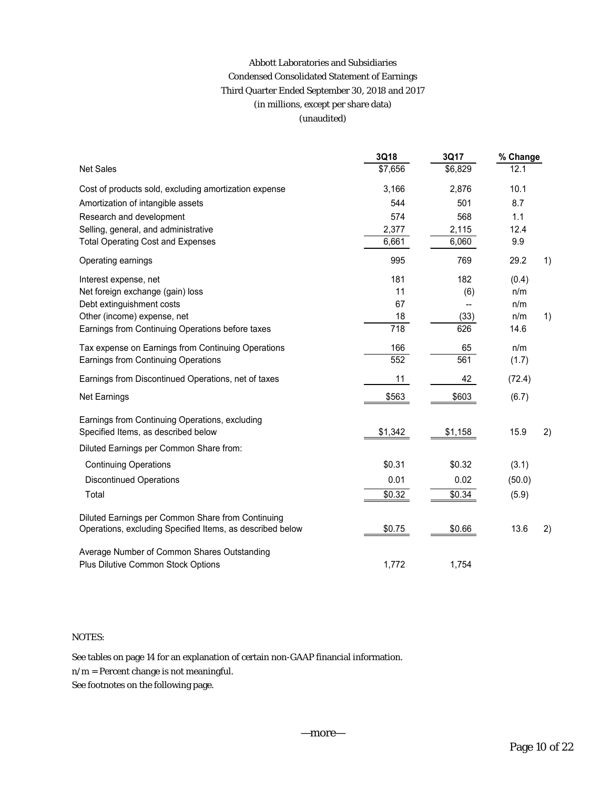## Abbott Laboratories and Subsidiaries Condensed Consolidated Statement of Earnings Third Quarter Ended September 30, 2018 and 2017 (in millions, except per share data) (unaudited)

|                                                                                                                | 3Q18    | 3Q17    | % Change |    |
|----------------------------------------------------------------------------------------------------------------|---------|---------|----------|----|
| <b>Net Sales</b>                                                                                               | \$7,656 | \$6,829 | 12.1     |    |
| Cost of products sold, excluding amortization expense                                                          | 3,166   | 2,876   | 10.1     |    |
| Amortization of intangible assets                                                                              | 544     | 501     | 8.7      |    |
| Research and development                                                                                       | 574     | 568     | 1.1      |    |
| Selling, general, and administrative                                                                           | 2,377   | 2,115   | 12.4     |    |
| <b>Total Operating Cost and Expenses</b>                                                                       | 6,661   | 6,060   | 9.9      |    |
| Operating earnings                                                                                             | 995     | 769     | 29.2     | 1) |
| Interest expense, net                                                                                          | 181     | 182     | (0.4)    |    |
| Net foreign exchange (gain) loss                                                                               | 11      | (6)     | n/m      |    |
| Debt extinguishment costs                                                                                      | 67      |         | n/m      |    |
| Other (income) expense, net                                                                                    | 18      | (33)    | n/m      | 1) |
| Earnings from Continuing Operations before taxes                                                               | 718     | 626     | 14.6     |    |
| Tax expense on Earnings from Continuing Operations                                                             | 166     | 65      | n/m      |    |
| <b>Earnings from Continuing Operations</b>                                                                     | 552     | 561     | (1.7)    |    |
| Earnings from Discontinued Operations, net of taxes                                                            | 11      | 42      | (72.4)   |    |
| Net Earnings                                                                                                   | \$563   | \$603   | (6.7)    |    |
| Earnings from Continuing Operations, excluding<br>Specified Items, as described below                          | \$1,342 | \$1,158 | 15.9     | 2) |
| Diluted Earnings per Common Share from:                                                                        |         |         |          |    |
| <b>Continuing Operations</b>                                                                                   | \$0.31  | \$0.32  | (3.1)    |    |
| <b>Discontinued Operations</b>                                                                                 | 0.01    | 0.02    | (50.0)   |    |
| Total                                                                                                          | \$0.32  | \$0.34  | (5.9)    |    |
| Diluted Earnings per Common Share from Continuing<br>Operations, excluding Specified Items, as described below | \$0.75  | \$0.66  | 13.6     | 2) |
| Average Number of Common Shares Outstanding<br>Plus Dilutive Common Stock Options                              | 1,772   | 1,754   |          |    |

### NOTES:

See tables on page 14 for an explanation of certain non-GAAP financial information.

 $\mathbf{n}/\mathbf{m}$  = Percent change is not meaningful.

See footnotes on the following page.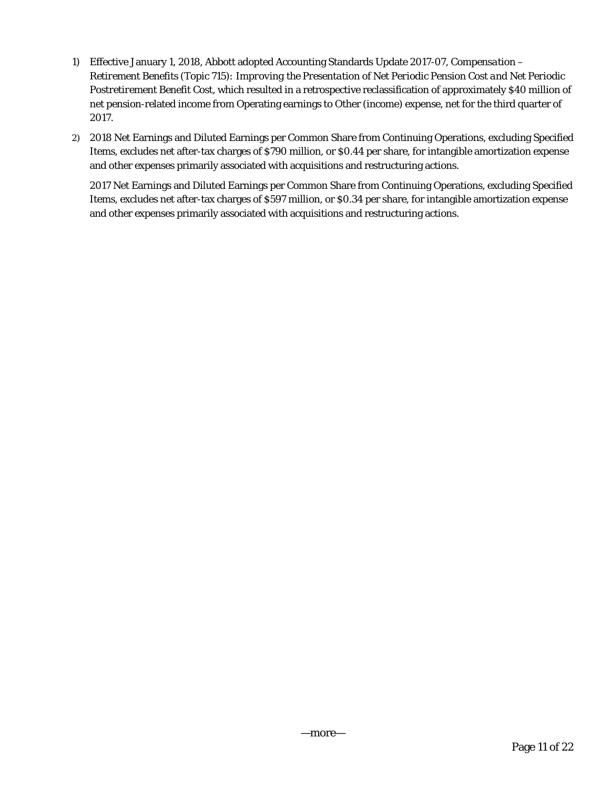- 1) Effective January 1, 2018, Abbott adopted Accounting Standards Update 2017-07, *Compensation Retirement Benefits (Topic 715): Improving the Presentation of Net Periodic Pension Cost and Net Periodic Postretirement Benefit Cost*, which resulted in a retrospective reclassification of approximately \$40 million of net pension-related income from Operating earnings to Other (income) expense, net for the third quarter of 2017.
- 2) 2018 Net Earnings and Diluted Earnings per Common Share from Continuing Operations, excluding Specified Items, excludes net after-tax charges of \$790 million, or \$0.44 per share, for intangible amortization expense and other expenses primarily associated with acquisitions and restructuring actions.

2017 Net Earnings and Diluted Earnings per Common Share from Continuing Operations, excluding Specified Items, excludes net after-tax charges of \$597 million, or \$0.34 per share, for intangible amortization expense and other expenses primarily associated with acquisitions and restructuring actions.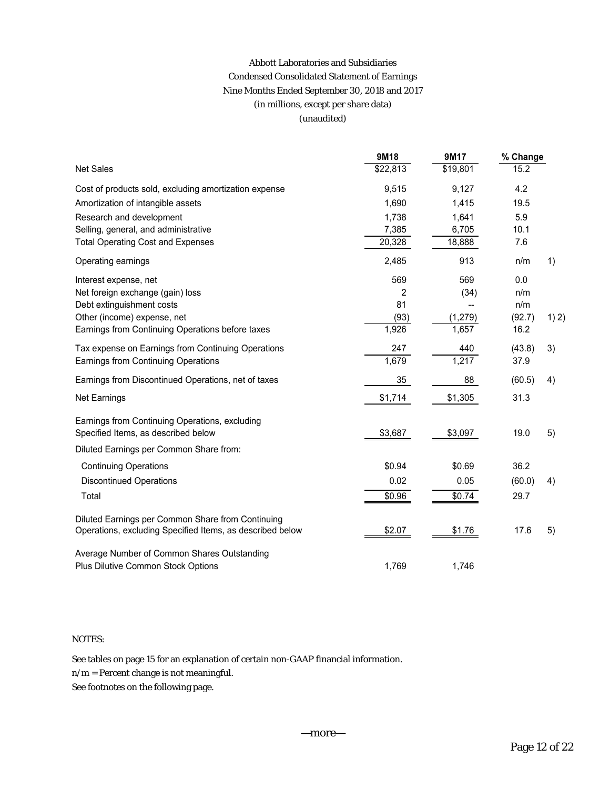## Abbott Laboratories and Subsidiaries Condensed Consolidated Statement of Earnings Nine Months Ended September 30, 2018 and 2017 (in millions, except per share data) (unaudited)

|                                                                                       | 9M18     | <b>9M17</b> | % Change |       |
|---------------------------------------------------------------------------------------|----------|-------------|----------|-------|
| <b>Net Sales</b>                                                                      | \$22,813 | \$19,801    | 15.2     |       |
| Cost of products sold, excluding amortization expense                                 | 9,515    | 9,127       | 4.2      |       |
| Amortization of intangible assets                                                     | 1,690    | 1,415       | 19.5     |       |
| Research and development                                                              | 1,738    | 1,641       | 5.9      |       |
| Selling, general, and administrative                                                  | 7,385    | 6,705       | 10.1     |       |
| <b>Total Operating Cost and Expenses</b>                                              | 20,328   | 18,888      | 7.6      |       |
| Operating earnings                                                                    | 2,485    | 913         | n/m      | 1)    |
| Interest expense, net                                                                 | 569      | 569         | 0.0      |       |
| Net foreign exchange (gain) loss                                                      | 2        | (34)        | n/m      |       |
| Debt extinguishment costs                                                             | 81       |             | n/m      |       |
| Other (income) expense, net                                                           | (93)     | (1, 279)    | (92.7)   | 1) 2) |
| Earnings from Continuing Operations before taxes                                      | 1,926    | 1,657       | 16.2     |       |
| Tax expense on Earnings from Continuing Operations                                    | 247      | 440         | (43.8)   | 3)    |
| Earnings from Continuing Operations                                                   | 1,679    | 1,217       | 37.9     |       |
| Earnings from Discontinued Operations, net of taxes                                   | 35       | 88          | (60.5)   | 4)    |
| Net Earnings                                                                          | \$1,714  | \$1,305     | 31.3     |       |
| Earnings from Continuing Operations, excluding<br>Specified Items, as described below | \$3,687  | \$3,097     | 19.0     | 5)    |
| Diluted Earnings per Common Share from:                                               |          |             |          |       |
| <b>Continuing Operations</b>                                                          | \$0.94   | \$0.69      | 36.2     |       |
| <b>Discontinued Operations</b>                                                        | 0.02     | 0.05        | (60.0)   | 4)    |
| Total                                                                                 | \$0.96   | \$0.74      | 29.7     |       |
| Diluted Earnings per Common Share from Continuing                                     |          |             |          |       |
| Operations, excluding Specified Items, as described below                             | \$2.07   | \$1.76      | 17.6     | 5)    |
| Average Number of Common Shares Outstanding                                           |          |             |          |       |
| Plus Dilutive Common Stock Options                                                    | 1,769    | 1,746       |          |       |

#### NOTES:

See tables on page 15 for an explanation of certain non-GAAP financial information.

 $\mathbf{n}/\mathbf{m}$  = Percent change is not meaningful.

See footnotes on the following page.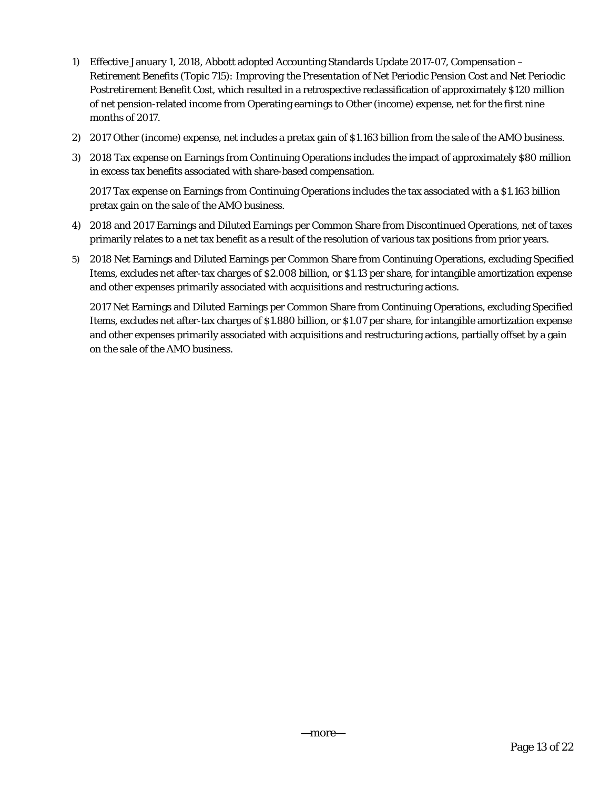- 1) Effective January 1, 2018, Abbott adopted Accounting Standards Update 2017-07, *Compensation Retirement Benefits (Topic 715): Improving the Presentation of Net Periodic Pension Cost and Net Periodic Postretirement Benefit Cost*, which resulted in a retrospective reclassification of approximately \$120 million of net pension-related income from Operating earnings to Other (income) expense, net for the first nine months of 2017.
- 2) 2017 Other (income) expense, net includes a pretax gain of \$1.163 billion from the sale of the AMO business.
- 3) 2018 Tax expense on Earnings from Continuing Operations includes the impact of approximately \$80 million in excess tax benefits associated with share-based compensation.

2017 Tax expense on Earnings from Continuing Operations includes the tax associated with a \$1.163 billion pretax gain on the sale of the AMO business.

- 4) 2018 and 2017 Earnings and Diluted Earnings per Common Share from Discontinued Operations, net of taxes primarily relates to a net tax benefit as a result of the resolution of various tax positions from prior years.
- 5) 2018 Net Earnings and Diluted Earnings per Common Share from Continuing Operations, excluding Specified Items, excludes net after-tax charges of \$2.008 billion, or \$1.13 per share, for intangible amortization expense and other expenses primarily associated with acquisitions and restructuring actions.

2017 Net Earnings and Diluted Earnings per Common Share from Continuing Operations, excluding Specified Items, excludes net after-tax charges of \$1.880 billion, or \$1.07 per share, for intangible amortization expense and other expenses primarily associated with acquisitions and restructuring actions, partially offset by a gain on the sale of the AMO business.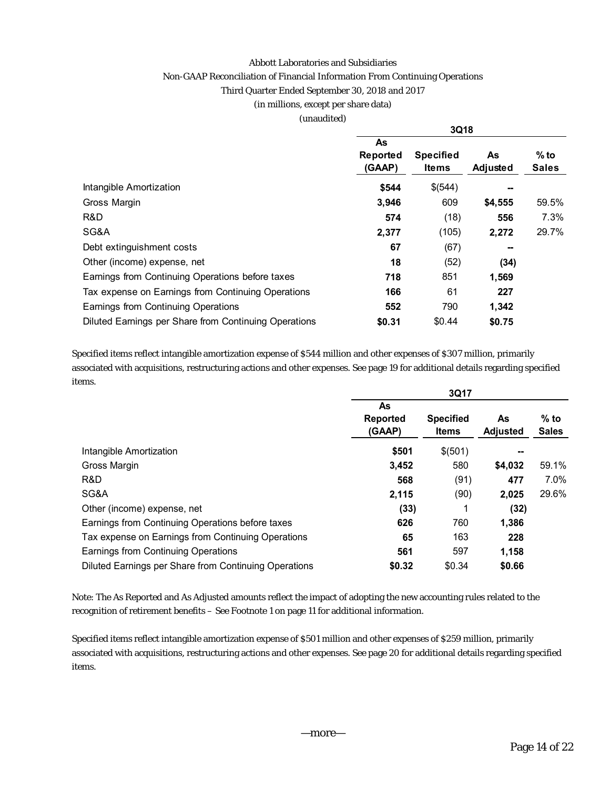#### Abbott Laboratories and Subsidiaries

#### Non-GAAP Reconciliation of Financial Information From Continuing Operations

## Third Quarter Ended September 30, 2018 and 2017

#### (in millions, except per share data)

#### (unaudited)

|                                                       | 3Q18                     |                                  |                |                        |  |  |  |
|-------------------------------------------------------|--------------------------|----------------------------------|----------------|------------------------|--|--|--|
|                                                       | As<br>Reported<br>(GAAP) | <b>Specified</b><br><b>Items</b> | As<br>Adjusted | $%$ to<br><b>Sales</b> |  |  |  |
| Intangible Amortization                               | \$544                    | \$(544)                          |                |                        |  |  |  |
| Gross Margin                                          | 3,946                    | 609                              | \$4,555        | 59.5%                  |  |  |  |
| R&D                                                   | 574                      | (18)                             | 556            | 7.3%                   |  |  |  |
| SG&A                                                  | 2,377                    | (105)                            | 2,272          | 29.7%                  |  |  |  |
| Debt extinguishment costs                             | 67                       | (67)                             |                |                        |  |  |  |
| Other (income) expense, net                           | 18                       | (52)                             | (34)           |                        |  |  |  |
| Earnings from Continuing Operations before taxes      | 718                      | 851                              | 1,569          |                        |  |  |  |
| Tax expense on Earnings from Continuing Operations    | 166                      | 61                               | 227            |                        |  |  |  |
| Earnings from Continuing Operations                   | 552                      | 790                              | 1,342          |                        |  |  |  |
| Diluted Earnings per Share from Continuing Operations | \$0.31                   | \$0.44                           | \$0.75         |                        |  |  |  |

Specified items reflect intangible amortization expense of \$544 million and other expenses of \$307 million, primarily associated with acquisitions, restructuring actions and other expenses. See page 19 for additional details regarding specified items.

|                                                       | 3Q17                            |                                  |                       |                        |  |  |  |  |
|-------------------------------------------------------|---------------------------------|----------------------------------|-----------------------|------------------------|--|--|--|--|
|                                                       | As<br><b>Reported</b><br>(GAAP) | <b>Specified</b><br><b>Items</b> | As<br><b>Adjusted</b> | $%$ to<br><b>Sales</b> |  |  |  |  |
| Intangible Amortization                               | \$501                           | \$(501)                          | --                    |                        |  |  |  |  |
| Gross Margin                                          | 3,452                           | 580                              | \$4,032               | 59.1%                  |  |  |  |  |
| R&D                                                   | 568                             | (91)                             | 477                   | 7.0%                   |  |  |  |  |
| SG&A                                                  | 2,115                           | (90)                             | 2,025                 | 29.6%                  |  |  |  |  |
| Other (income) expense, net                           | (33)                            |                                  | (32)                  |                        |  |  |  |  |
| Earnings from Continuing Operations before taxes      | 626                             | 760                              | 1,386                 |                        |  |  |  |  |
| Tax expense on Earnings from Continuing Operations    | 65                              | 163                              | 228                   |                        |  |  |  |  |
| Earnings from Continuing Operations                   | 561                             | 597                              | 1,158                 |                        |  |  |  |  |
| Diluted Earnings per Share from Continuing Operations | \$0.32                          | \$0.34                           | \$0.66                |                        |  |  |  |  |

Note: The As Reported and As Adjusted amounts reflect the impact of adopting the new accounting rules related to the recognition of retirement benefits – See Footnote 1 on page 11 for additional information.

Specified items reflect intangible amortization expense of \$501 million and other expenses of \$259 million, primarily associated with acquisitions, restructuring actions and other expenses. See page 20 for additional details regarding specified items.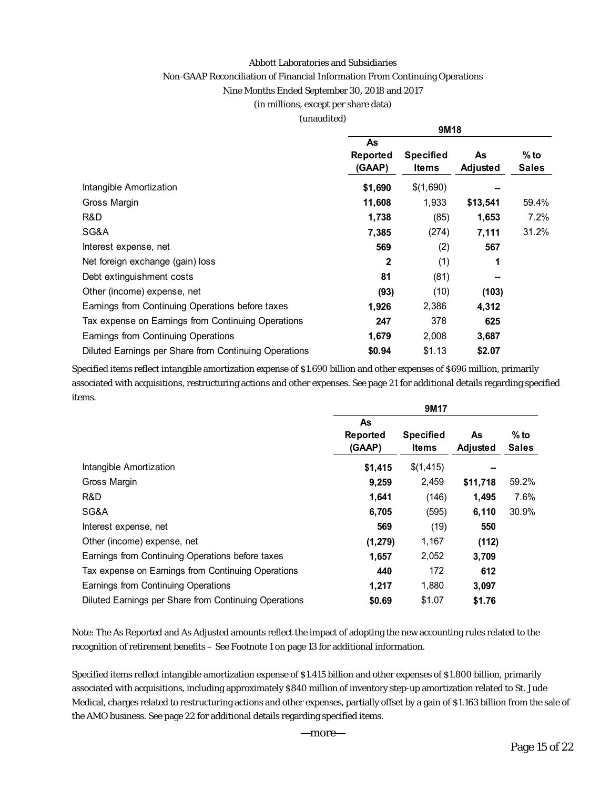#### Abbott Laboratories and Subsidiaries

### Non-GAAP Reconciliation of Financial Information From Continuing Operations

Nine Months Ended September 30, 2018 and 2017

#### (in millions, except per share data)

(unaudited)

|                                                       | 9M18                     |                           |                |                        |  |  |  |
|-------------------------------------------------------|--------------------------|---------------------------|----------------|------------------------|--|--|--|
|                                                       | As<br>Reported<br>(GAAP) | <b>Specified</b><br>Items | As<br>Adjusted | $%$ to<br><b>Sales</b> |  |  |  |
| Intangible Amortization                               | \$1,690                  | \$(1,690)                 |                |                        |  |  |  |
| Gross Margin                                          | 11,608                   | 1,933                     | \$13,541       | 59.4%                  |  |  |  |
| R&D                                                   | 1,738                    | (85)                      | 1,653          | 7.2%                   |  |  |  |
| SG&A                                                  | 7,385                    | (274)                     | 7,111          | 31.2%                  |  |  |  |
| Interest expense, net                                 | 569                      | (2)                       | 567            |                        |  |  |  |
| Net foreign exchange (gain) loss                      | 2                        | (1)                       | 1              |                        |  |  |  |
| Debt extinguishment costs                             | 81                       | (81)                      |                |                        |  |  |  |
| Other (income) expense, net                           | (93)                     | (10)                      | (103)          |                        |  |  |  |
| Earnings from Continuing Operations before taxes      | 1,926                    | 2,386                     | 4,312          |                        |  |  |  |
| Tax expense on Earnings from Continuing Operations    | 247                      | 378                       | 625            |                        |  |  |  |
| Earnings from Continuing Operations                   | 1,679                    | 2,008                     | 3,687          |                        |  |  |  |
| Diluted Earnings per Share from Continuing Operations | \$0.94                   | \$1.13                    | \$2.07         |                        |  |  |  |

Specified items reflect intangible amortization expense of \$1.690 billion and other expenses of \$696 million, primarily associated with acquisitions, restructuring actions and other expenses. See page 21 for additional details regarding specified items.

|                                                       | 9M17     |                  |          |              |  |  |  |  |
|-------------------------------------------------------|----------|------------------|----------|--------------|--|--|--|--|
|                                                       | As       |                  |          |              |  |  |  |  |
|                                                       | Reported | <b>Specified</b> | As       | $%$ to       |  |  |  |  |
|                                                       | (GAAP)   | Items            | Adjusted | <b>Sales</b> |  |  |  |  |
| Intangible Amortization                               | \$1,415  | \$(1,415)        | --       |              |  |  |  |  |
| Gross Margin                                          | 9,259    | 2,459            | \$11,718 | 59.2%        |  |  |  |  |
| R&D                                                   | 1,641    | (146)            | 1,495    | 7.6%         |  |  |  |  |
| SG&A                                                  | 6,705    | (595)            | 6,110    | 30.9%        |  |  |  |  |
| Interest expense, net                                 | 569      | (19)             | 550      |              |  |  |  |  |
| Other (income) expense, net                           | (1, 279) | 1,167            | (112)    |              |  |  |  |  |
| Earnings from Continuing Operations before taxes      | 1,657    | 2,052            | 3,709    |              |  |  |  |  |
| Tax expense on Earnings from Continuing Operations    | 440      | 172              | 612      |              |  |  |  |  |
| Earnings from Continuing Operations                   | 1,217    | 1,880            | 3,097    |              |  |  |  |  |
| Diluted Earnings per Share from Continuing Operations | \$0.69   | \$1.07           | \$1.76   |              |  |  |  |  |

Note: The As Reported and As Adjusted amounts reflect the impact of adopting the new accounting rules related to the recognition of retirement benefits – See Footnote 1 on page 13 for additional information.

Specified items reflect intangible amortization expense of \$1.415 billion and other expenses of \$1.800 billion, primarily associated with acquisitions, including approximately \$840 million of inventory step-up amortization related to St. Jude Medical, charges related to restructuring actions and other expenses, partially offset by a gain of \$1.163 billion from the sale of the AMO business. See page 22 for additional details regarding specified items.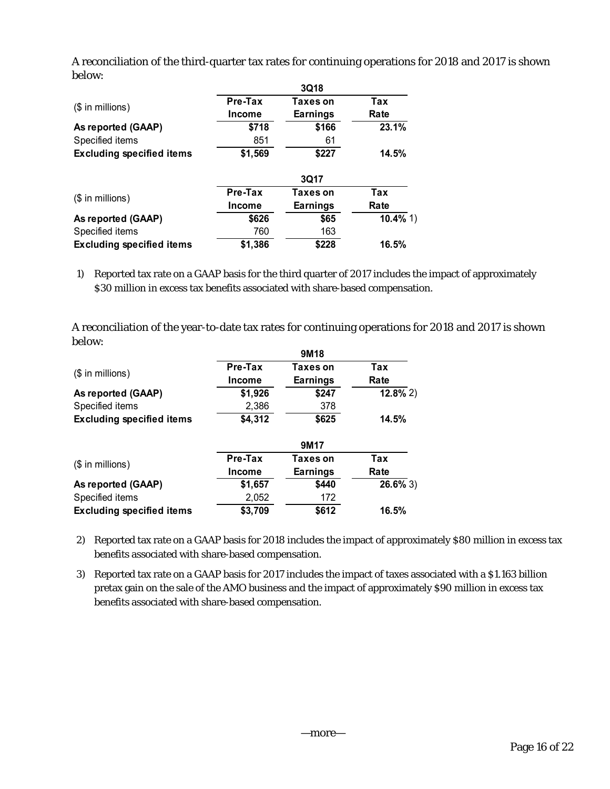A reconciliation of the third-quarter tax rates for continuing operations for 2018 and 2017 is shown below:

|                                  | 3Q18                     |                      |             |  |  |  |  |  |  |
|----------------------------------|--------------------------|----------------------|-------------|--|--|--|--|--|--|
| $($$ in millions)                | Pre-Tax<br><b>Income</b> | Taxes on<br>Earnings | Tax<br>Rate |  |  |  |  |  |  |
| As reported (GAAP)               | \$718                    | \$166                | 23.1%       |  |  |  |  |  |  |
| Specified items                  | 851                      | 61                   |             |  |  |  |  |  |  |
| <b>Excluding specified items</b> | \$1,569                  | 14.5%                |             |  |  |  |  |  |  |
|                                  |                          | <b>3Q17</b>          |             |  |  |  |  |  |  |
| $($$ in millions)                | Pre-Tax                  | Taxes on             | Tax         |  |  |  |  |  |  |
|                                  | Income                   | <b>Earnings</b>      | Rate        |  |  |  |  |  |  |
| As reported (GAAP)               | \$626                    | \$65                 | $10.4\%$ 1) |  |  |  |  |  |  |
| Specified items                  | 760                      | 163                  |             |  |  |  |  |  |  |
| <b>Excluding specified items</b> | \$1,386                  | \$228                | 16.5%       |  |  |  |  |  |  |

1) Reported tax rate on a GAAP basis for the third quarter of 2017 includes the impact of approximately \$30 million in excess tax benefits associated with share-based compensation.

A reconciliation of the year-to-date tax rates for continuing operations for 2018 and 2017 is shown below:

|                                  | 9M18          |                 |             |  |  |  |  |  |
|----------------------------------|---------------|-----------------|-------------|--|--|--|--|--|
| $($$ in millions)                | Pre-Tax       | Taxes on        | Tax         |  |  |  |  |  |
|                                  | <b>Income</b> | <b>Earnings</b> | Rate        |  |  |  |  |  |
| As reported (GAAP)               | \$1,926       | \$247           | $12.8\%$ 2) |  |  |  |  |  |
| Specified items                  | 2,386         | 378             |             |  |  |  |  |  |
| <b>Excluding specified items</b> | \$4,312       | \$625           | 14.5%       |  |  |  |  |  |

|                                  | 9M <sub>17</sub> |          |             |  |  |  |  |  |
|----------------------------------|------------------|----------|-------------|--|--|--|--|--|
| $($$ in millions)                | Pre-Tax          | Taxes on | Tax         |  |  |  |  |  |
|                                  | <b>Income</b>    | Earnings | Rate        |  |  |  |  |  |
| As reported (GAAP)               | \$1,657          | \$440    | $26.6\%$ 3) |  |  |  |  |  |
| Specified items                  | 2,052            | 172      |             |  |  |  |  |  |
| <b>Excluding specified items</b> | \$3,709          | \$612    | 16.5%       |  |  |  |  |  |

2) Reported tax rate on a GAAP basis for 2018 includes the impact of approximately \$80 million in excess tax benefits associated with share-based compensation.

3) Reported tax rate on a GAAP basis for 2017 includes the impact of taxes associated with a \$1.163 billion pretax gain on the sale of the AMO business and the impact of approximately \$90 million in excess tax benefits associated with share-based compensation.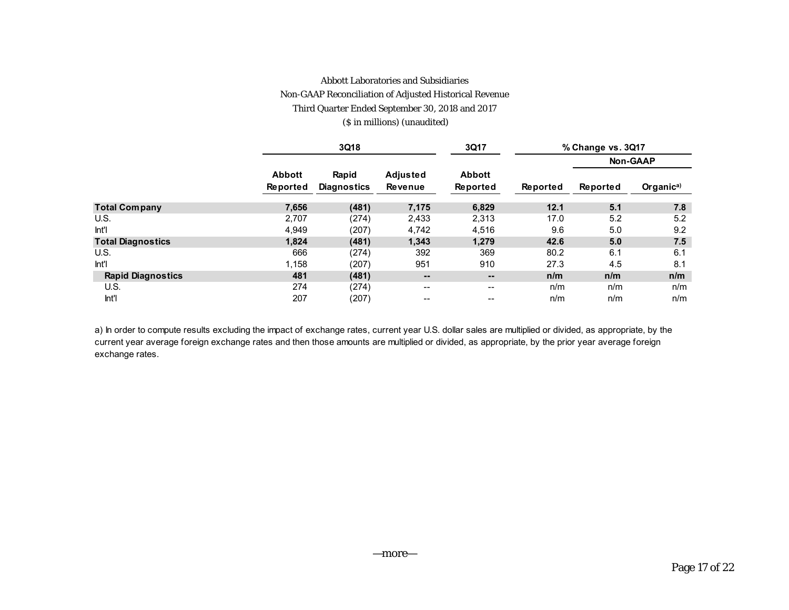#### Abbott Laboratories and Subsidiaries

#### Non-GAAP Reconciliation of Adjusted Historical Revenue

Third Quarter Ended September 30, 2018 and 2017

(\$ in millions) (unaudited)

|                          |                           | 3Q18                        |                                   | 3Q17                         | % Change vs. 3Q17 |          |                       |  |
|--------------------------|---------------------------|-----------------------------|-----------------------------------|------------------------------|-------------------|----------|-----------------------|--|
|                          |                           |                             |                                   |                              |                   |          | <b>Non-GAAP</b>       |  |
|                          | <b>Abbott</b><br>Reported | Rapid<br><b>Diagnostics</b> | <b>Adjusted</b><br><b>Revenue</b> | <b>Abbott</b><br>Reported    | Reported          | Reported | Organic <sup>a)</sup> |  |
| <b>Total Company</b>     | 7,656                     | (481)                       | 7,175                             | 6,829                        | 12.1              | 5.1      | 7.8                   |  |
| U.S.                     | 2.707                     | (274)                       | 2,433                             | 2,313                        | 17.0              | 5.2      | 5.2                   |  |
| Int'l                    | 4,949                     | (207)                       | 4.742                             | 4,516                        | 9.6               | 5.0      | 9.2                   |  |
| <b>Total Diagnostics</b> | 1,824                     | (481)                       | 1,343                             | 1,279                        | 42.6              | 5.0      | 7.5                   |  |
| U.S.                     | 666                       | (274)                       | 392                               | 369                          | 80.2              | 6.1      | 6.1                   |  |
| Int'l                    | 1,158                     | (207)                       | 951                               | 910                          | 27.3              | 4.5      | 8.1                   |  |
| <b>Rapid Diagnostics</b> | 481                       | (481)                       | $\qquad \qquad \blacksquare$      | $\qquad \qquad \blacksquare$ | n/m               | n/m      | n/m                   |  |
| U.S.                     | 274                       | (274)                       | --                                | $\overline{\phantom{a}}$     | n/m               | n/m      | n/m                   |  |
| Int'l                    | 207                       | (207)                       | --                                | $- -$                        | n/m               | n/m      | n/m                   |  |

a) In order to compute results excluding the impact of exchange rates, current year U.S. dollar sales are multiplied or divided, as appropriate, by the current year average foreign exchange rates and then those amounts are multiplied or divided, as appropriate, by the prior year average foreign exchange rates.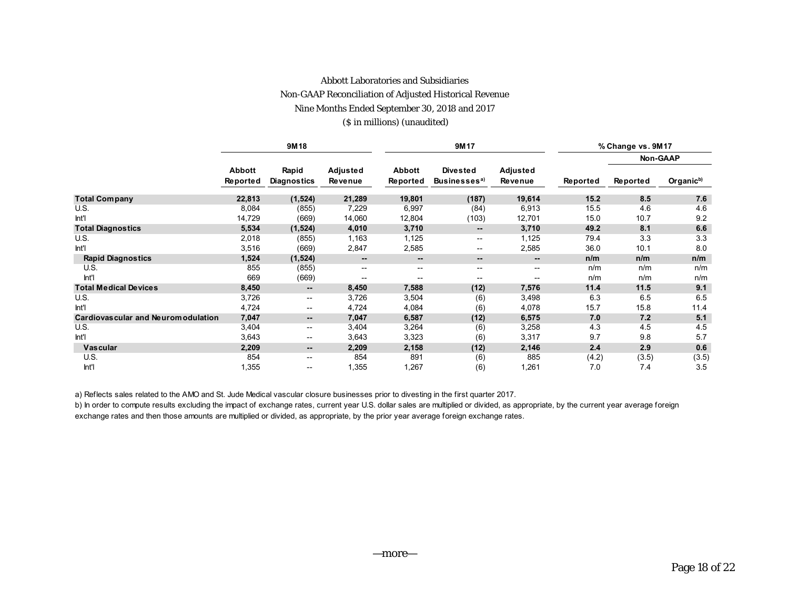#### Abbott Laboratories and Subsidiaries

### Non-GAAP Reconciliation of Adjusted Historical Revenue

Nine Months Ended September 30, 2018 and 2017

#### (\$ in millions) (unaudited)

|                                      |                           | 9M18                        |                     |                           | 9M17                                        |                          |          | % Change vs. 9M17 |                       |
|--------------------------------------|---------------------------|-----------------------------|---------------------|---------------------------|---------------------------------------------|--------------------------|----------|-------------------|-----------------------|
|                                      |                           |                             |                     |                           |                                             |                          |          |                   | Non-GAAP              |
|                                      | <b>Abbott</b><br>Reported | Rapid<br><b>Diagnostics</b> | Adjusted<br>Revenue | <b>Abbott</b><br>Reported | <b>Divested</b><br>Businesses <sup>a)</sup> | Adjusted<br>Revenue      | Reported | Reported          | Organic <sup>b)</sup> |
| <b>Total Company</b>                 | 22,813                    | (1,524)                     | 21,289              | 19,801                    | (187)                                       | 19,614                   | 15.2     | 8.5               | 7.6                   |
| U.S.                                 | 8,084                     | (855)                       | 7,229               | 6,997                     | (84)                                        | 6,913                    | 15.5     | 4.6               | 4.6                   |
| Int                                  | 14,729                    | (669)                       | 14,060              | 12,804                    | (103)                                       | 12,701                   | 15.0     | 10.7              | 9.2                   |
| <b>Total Diagnostics</b>             | 5,534                     | (1, 524)                    | 4,010               | 3,710                     | $\qquad \qquad -$                           | 3,710                    | 49.2     | 8.1               | 6.6                   |
| U.S.                                 | 2,018                     | (855)                       | 1,163               | 1,125                     | $\overline{\phantom{a}}$                    | 1,125                    | 79.4     | 3.3               | 3.3                   |
| Int                                  | 3,516                     | (669)                       | 2,847               | 2,585                     | $\overline{\phantom{a}}$                    | 2,585                    | 36.0     | 10.1              | 8.0                   |
| <b>Rapid Diagnostics</b>             | 1,524                     | (1, 524)                    | --                  | $\overline{\phantom{a}}$  | $\overline{\phantom{a}}$                    | $\overline{\phantom{a}}$ | n/m      | n/m               | n/m                   |
| U.S.                                 | 855                       | (855)                       | --                  | $\overline{\phantom{m}}$  | $\overline{\phantom{a}}$                    | $\overline{\phantom{m}}$ | n/m      | n/m               | n/m                   |
| Int'l                                | 669                       | (669)                       | --                  | $- -$                     | $- -$                                       | $\overline{\phantom{a}}$ | n/m      | n/m               | n/m                   |
| <b>Total Medical Devices</b>         | 8,450                     | $\overline{\phantom{a}}$    | 8,450               | 7,588                     | (12)                                        | 7,576                    | 11.4     | 11.5              | 9.1                   |
| U.S.                                 | 3,726                     | $\overline{\phantom{a}}$    | 3,726               | 3,504                     | (6)                                         | 3,498                    | 6.3      | 6.5               | 6.5                   |
| Int'l                                | 4,724                     | $\mathbf{u}$                | 4,724               | 4,084                     | (6)                                         | 4,078                    | 15.7     | 15.8              | 11.4                  |
| Cardiovas cular and Neurom odulation | 7,047                     | $\overline{\phantom{a}}$    | 7,047               | 6,587                     | (12)                                        | 6,575                    | 7.0      | 7.2               | 5.1                   |
| U.S.                                 | 3,404                     | $\overline{\phantom{m}}$    | 3,404               | 3,264                     | (6)                                         | 3,258                    | 4.3      | 4.5               | 4.5                   |
| Int'l                                | 3,643                     | $\overline{\phantom{a}}$    | 3,643               | 3,323                     | (6)                                         | 3,317                    | 9.7      | 9.8               | 5.7                   |
| <b>Vascular</b>                      | 2,209                     | $\overline{\phantom{a}}$    | 2,209               | 2,158                     | (12)                                        | 2,146                    | 2.4      | 2.9               | 0.6                   |
| U.S.                                 | 854                       | $\overline{\phantom{a}}$    | 854                 | 891                       | (6)                                         | 885                      | (4.2)    | (3.5)             | (3.5)                 |
| Int'l                                | 1,355                     | $- -$                       | 1,355               | 1,267                     | (6)                                         | 1,261                    | 7.0      | 7.4               | 3.5                   |

a) Reflects sales related to the AMO and St. Jude Medical vascular closure businesses prior to divesting in the first quarter 2017.

b) In order to compute results excluding the impact of exchange rates, current year U.S. dollar sales are multiplied or divided, as appropriate, by the current year average foreign exchange rates and then those amounts are multiplied or divided, as appropriate, by the prior year average foreign exchange rates.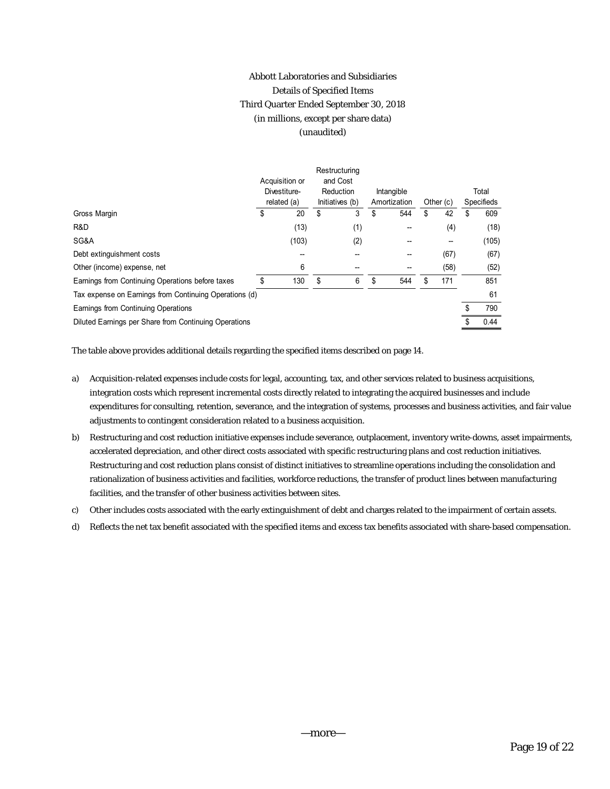## Abbott Laboratories and Subsidiaries Details of Specified Items Third Quarter Ended September 30, 2018 (in millions, except per share data) (unaudited)

|                                                        |   | Acquisition or<br>Divestiture-<br>related (a) |    | Restructuring<br>and Cost<br>Reduction<br>Initiatives (b) |    | Intangible<br>Amortization |    | Other $(c)$ | Total<br><b>Specifieds</b> |       |
|--------------------------------------------------------|---|-----------------------------------------------|----|-----------------------------------------------------------|----|----------------------------|----|-------------|----------------------------|-------|
| Gross Margin                                           | S | 20                                            | \$ | 3                                                         | \$ | 544                        | \$ | 42          |                            | 609   |
| R&D                                                    |   | (13)                                          |    | (1)                                                       |    |                            |    | (4)         |                            | (18)  |
| SG&A                                                   |   | (103)                                         |    | (2)                                                       |    |                            |    |             |                            | (105) |
| Debt extinguishment costs                              |   |                                               |    |                                                           |    |                            |    | (67)        |                            | (67)  |
| Other (income) expense, net                            |   | 6                                             |    |                                                           |    |                            |    | (58)        |                            | (52)  |
| Earnings from Continuing Operations before taxes       |   | 130                                           | \$ | 6                                                         | \$ | 544                        |    | 171         |                            | 851   |
| Tax expense on Earnings from Continuing Operations (d) |   |                                               |    |                                                           |    |                            |    |             |                            | 61    |
| Earnings from Continuing Operations                    |   |                                               |    |                                                           |    |                            |    |             |                            | 790   |
| Diluted Earnings per Share from Continuing Operations  |   |                                               |    |                                                           |    |                            |    |             |                            | 0.44  |

The table above provides additional details regarding the specified items described on page 14.

- a) Acquisition-related expenses include costs for legal, accounting, tax, and other services related to business acquisitions, integration costs which represent incremental costs directly related to integrating the acquired businesses and include expenditures for consulting, retention, severance, and the integration of systems, processes and business activities, and fair value adjustments to contingent consideration related to a business acquisition.
- b) Restructuring and cost reduction initiative expenses include severance, outplacement, inventory write-downs, asset impairments, accelerated depreciation, and other direct costs associated with specific restructuring plans and cost reduction initiatives. Restructuring and cost reduction plans consist of distinct initiatives to streamline operations including the consolidation and rationalization of business activities and facilities, workforce reductions, the transfer of product lines between manufacturing facilities, and the transfer of other business activities between sites.
- c) Other includes costs associated with the early extinguishment of debt and charges related to the impairment of certain assets.
- d) Reflects the net tax benefit associated with the specified items and excess tax benefits associated with share-based compensation.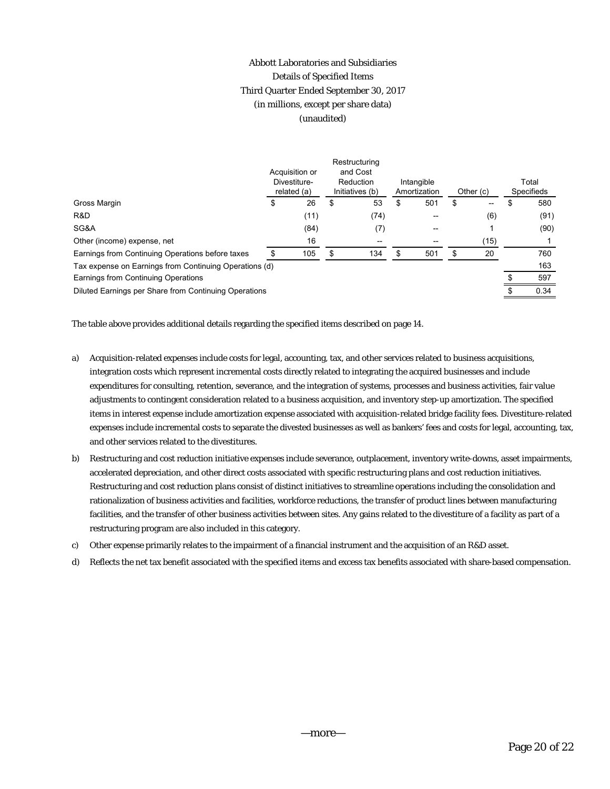## Abbott Laboratories and Subsidiaries Details of Specified Items Third Quarter Ended September 30, 2017 (in millions, except per share data) (unaudited)

|                                                        |    | Acquisition or<br>Divestiture-<br>related (a) |    | Restructuring<br>and Cost<br>Reduction<br>Initiatives (b) |    | Intangible<br>Amortization |    | Other $(c)$ | Total<br><b>Specifieds</b> |      |
|--------------------------------------------------------|----|-----------------------------------------------|----|-----------------------------------------------------------|----|----------------------------|----|-------------|----------------------------|------|
| Gross Margin                                           | \$ | 26                                            | \$ | 53                                                        | S  | 501                        | \$ | $- -$       | \$                         | 580  |
| R&D                                                    |    | (11)                                          |    | (74)                                                      |    | $- -$                      |    | (6)         |                            | (91) |
| SG&A                                                   |    | (84)                                          |    | (7)                                                       |    | --                         |    |             |                            | (90) |
| Other (income) expense, net                            |    | 16                                            |    | --                                                        |    | $- -$                      |    | (15)        |                            |      |
| Earnings from Continuing Operations before taxes       |    | 105                                           | \$ | 134                                                       | \$ | 501                        | S  | 20          |                            | 760  |
| Tax expense on Earnings from Continuing Operations (d) |    |                                               |    |                                                           |    |                            |    |             |                            | 163  |
| Earnings from Continuing Operations                    |    |                                               |    |                                                           |    |                            |    |             |                            | 597  |
| Diluted Earnings per Share from Continuing Operations  |    |                                               |    |                                                           |    |                            |    |             |                            | 0.34 |
|                                                        |    |                                               |    |                                                           |    |                            |    |             |                            |      |

The table above provides additional details regarding the specified items described on page 14.

- a) Acquisition-related expenses include costs for legal, accounting, tax, and other services related to business acquisitions, integration costs which represent incremental costs directly related to integrating the acquired businesses and include expenditures for consulting, retention, severance, and the integration of systems, processes and business activities, fair value adjustments to contingent consideration related to a business acquisition, and inventory step-up amortization. The specified items in interest expense include amortization expense associated with acquisition-related bridge facility fees. Divestiture-related expenses include incremental costs to separate the divested businesses as well as bankers' fees and costs for legal, accounting, tax, and other services related to the divestitures.
- b) Restructuring and cost reduction initiative expenses include severance, outplacement, inventory write-downs, asset impairments, accelerated depreciation, and other direct costs associated with specific restructuring plans and cost reduction initiatives. Restructuring and cost reduction plans consist of distinct initiatives to streamline operations including the consolidation and rationalization of business activities and facilities, workforce reductions, the transfer of product lines between manufacturing facilities, and the transfer of other business activities between sites. Any gains related to the divestiture of a facility as part of a restructuring program are also included in this category.
- c) Other expense primarily relates to the impairment of a financial instrument and the acquisition of an R&D asset.
- d) Reflects the net tax benefit associated with the specified items and excess tax benefits associated with share-based compensation.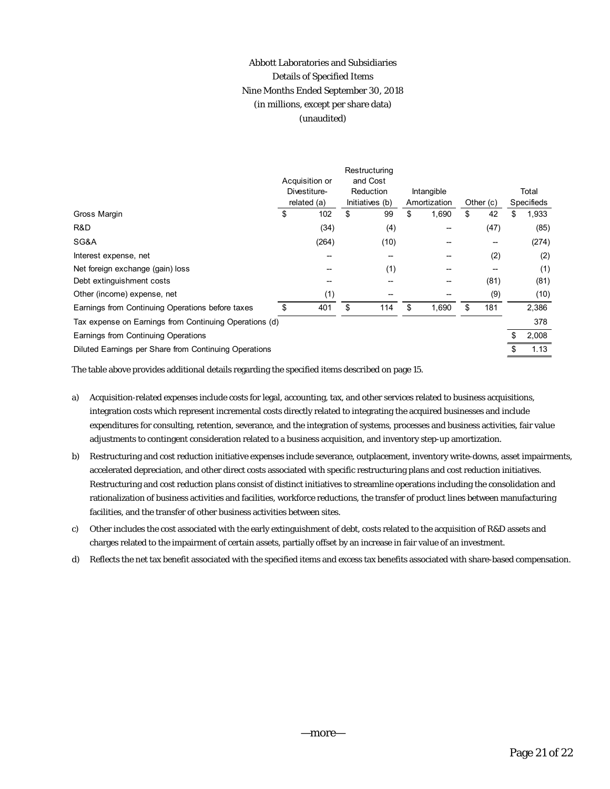## Abbott Laboratories and Subsidiaries Details of Specified Items Nine Months Ended September 30, 2018 (in millions, except per share data) (unaudited)

|                                                        |    | Acquisition or<br>Divestiture-<br>related (a) |    | Restructuring<br>and Cost<br>Reduction<br>Initiatives (b) |    | Intangible<br>Amortization |    | Other (c) |    | Total<br><b>Specifieds</b> |
|--------------------------------------------------------|----|-----------------------------------------------|----|-----------------------------------------------------------|----|----------------------------|----|-----------|----|----------------------------|
| Gross Margin                                           | \$ | 102                                           | \$ | 99                                                        | \$ | 1,690                      | \$ | 42        | \$ | 1,933                      |
| R&D                                                    |    | (34)                                          |    | (4)                                                       |    |                            |    | (47)      |    | (85)                       |
| SG&A                                                   |    | (264)                                         |    | (10)                                                      |    |                            |    |           |    | (274)                      |
| Interest expense, net                                  |    |                                               |    |                                                           |    |                            |    | (2)       |    | (2)                        |
| Net foreign exchange (gain) loss                       |    |                                               |    | (1)                                                       |    |                            |    |           |    | (1)                        |
| Debt extinguishment costs                              |    |                                               |    |                                                           |    |                            |    | (81)      |    | (81)                       |
| Other (income) expense, net                            |    | (1)                                           |    |                                                           |    |                            |    | (9)       |    | (10)                       |
| Earnings from Continuing Operations before taxes       | \$ | 401                                           | \$ | 114                                                       | \$ | 1,690                      | \$ | 181       |    | 2,386                      |
| Tax expense on Earnings from Continuing Operations (d) |    |                                               |    |                                                           |    |                            |    |           |    | 378                        |
| Earnings from Continuing Operations                    |    |                                               |    |                                                           |    |                            |    |           |    | 2,008                      |
| Diluted Earnings per Share from Continuing Operations  |    |                                               |    |                                                           |    |                            |    |           |    | 1.13                       |

The table above provides additional details regarding the specified items described on page 15.

- a) Acquisition-related expenses include costs for legal, accounting, tax, and other services related to business acquisitions, integration costs which represent incremental costs directly related to integrating the acquired businesses and include expenditures for consulting, retention, severance, and the integration of systems, processes and business activities, fair value adjustments to contingent consideration related to a business acquisition, and inventory step-up amortization.
- b) Restructuring and cost reduction initiative expenses include severance, outplacement, inventory write-downs, asset impairments, accelerated depreciation, and other direct costs associated with specific restructuring plans and cost reduction initiatives. Restructuring and cost reduction plans consist of distinct initiatives to streamline operations including the consolidation and rationalization of business activities and facilities, workforce reductions, the transfer of product lines between manufacturing facilities, and the transfer of other business activities between sites.
- c) Other includes the cost associated with the early extinguishment of debt, costs related to the acquisition of R&D assets and charges related to the impairment of certain assets, partially offset by an increase in fair value of an investment.
- d) Reflects the net tax benefit associated with the specified items and excess tax benefits associated with share-based compensation.